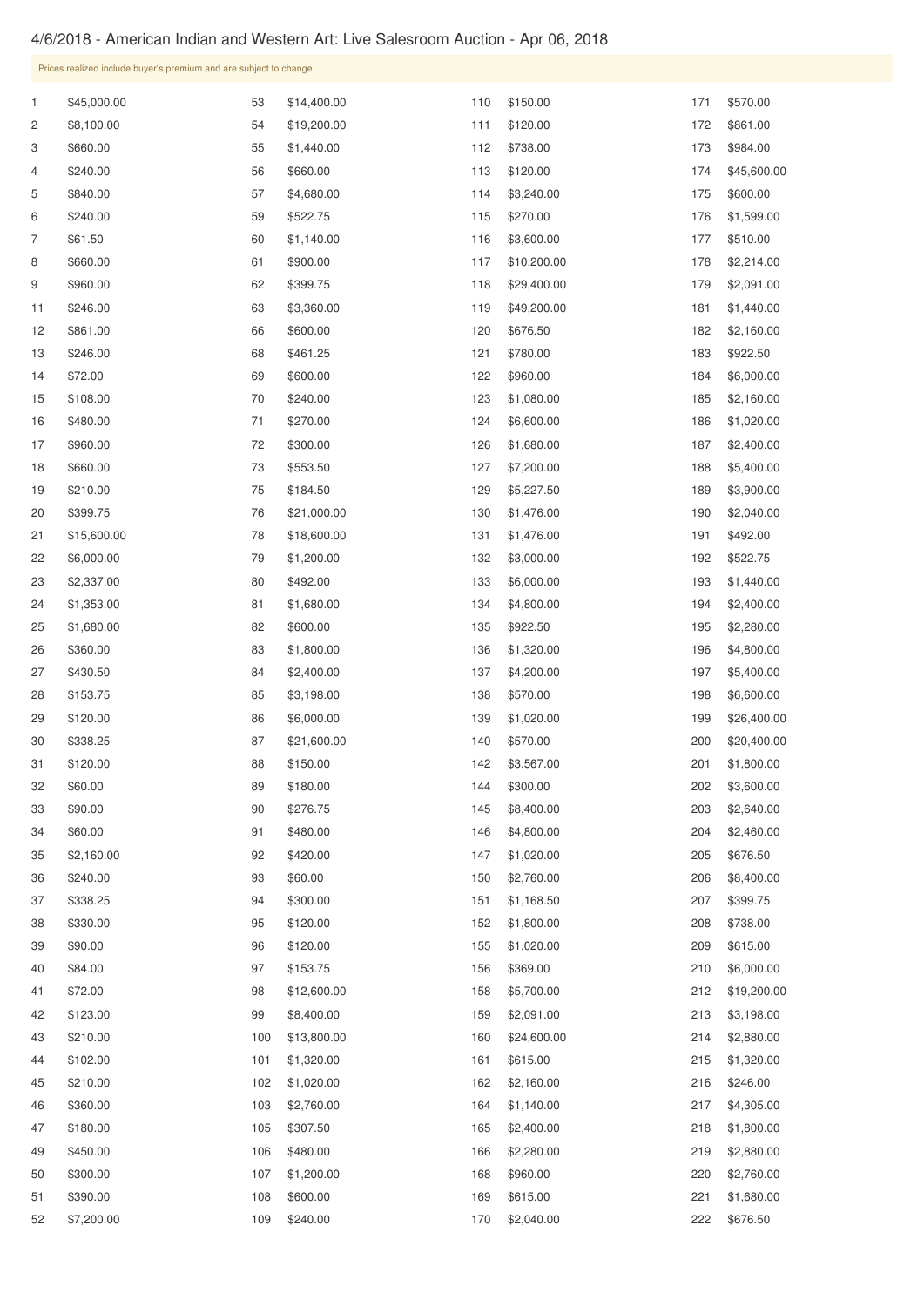## 4/6/2018 - American Indian and Western Art: Live Salesroom Auction - Apr 06, 2018

Prices realized include buyer's premium and are subject to change.

\$84.00

\$153.75

 \$45,000.00 \$8,100.00 \$660.00 \$240.00 \$840.00 \$240.00 \$61.50 \$660.00 \$960.00 \$246.00 \$861.00 \$246.00 \$72.00 \$108.00 \$480.00 \$960.00 \$660.00 \$210.00 \$399.75 \$15,600.00 \$6,000.00 \$2,337.00 \$1,353.00 \$1,680.00 \$360.00 \$430.50 \$153.75 \$120.00 \$338.25 \$120.00 \$60.00 \$90.00 \$60.00 \$2,160.00 \$240.00 \$338.25 \$330.00 \$90.00 \$14,400.00 \$19,200.00 \$1,440.00 \$660.00 \$4,680.00 \$522.75 \$1,140.00 \$900.00 \$399.75 \$3,360.00 \$600.00 \$461.25 \$600.00 \$240.00 \$270.00 \$300.00 \$553.50 \$184.50 \$21,000.00 \$18,600.00 \$1,200.00 \$492.00 \$1,680.00 \$600.00 \$1,800.00 \$2,400.00 \$3,198.00 \$6,000.00 \$21,600.00 \$150.00 \$180.00 \$276.75 \$480.00 \$420.00 \$60.00 \$300.00 \$120.00 \$120.00 \$150.00 \$120.00 \$738.00 \$120.00 \$3,240.00 \$270.00 \$3,600.00 \$10,200.00 \$29,400.00 \$49,200.00 \$676.50 \$780.00 \$960.00 \$1,080.00 \$6,600.00 \$1,680.00 \$7,200.00 \$5,227.50 \$1,476.00 \$1,476.00 \$3,000.00 \$6,000.00 \$4,800.00 \$922.50 \$1,320.00 \$4,200.00 \$570.00 \$1,020.00 \$570.00 \$3,567.00 \$300.00 \$8,400.00 \$4,800.00 \$1,020.00 \$2,760.00 \$1,168.50 \$1,800.00 \$1,020.00 \$570.00 \$861.00 \$984.00 \$45,600.00 \$600.00 \$1,599.00 \$510.00 \$2,214.00 \$2,091.00 \$1,440.00 \$2,160.00 \$922.50 \$6,000.00 \$2,160.00 \$1,020.00 \$2,400.00 \$5,400.00 \$3,900.00 \$2,040.00 \$492.00 \$522.75 \$1,440.00 \$2,400.00 \$2,280.00 \$4,800.00 \$5,400.00 \$6,600.00 \$26,400.00 \$20,400.00 \$1,800.00 \$3,600.00 \$2,640.00 \$2,460.00 \$676.50 \$8,400.00 \$399.75 \$738.00 \$615.00

| 41 | \$72.00    | 98  | \$12,600.00 | 158 | \$5,700.00  | 212 | \$19,200.00 |
|----|------------|-----|-------------|-----|-------------|-----|-------------|
| 42 | \$123.00   | 99  | \$8,400.00  | 159 | \$2,091.00  | 213 | \$3,198.00  |
| 43 | \$210.00   | 100 | \$13,800.00 | 160 | \$24,600.00 | 214 | \$2,880.00  |
| 44 | \$102.00   | 101 | \$1,320.00  | 161 | \$615.00    | 215 | \$1,320.00  |
| 45 | \$210.00   | 102 | \$1,020.00  | 162 | \$2,160.00  | 216 | \$246.00    |
| 46 | \$360.00   | 103 | \$2,760.00  | 164 | \$1,140.00  | 217 | \$4,305.00  |
| 47 | \$180.00   | 105 | \$307.50    | 165 | \$2,400.00  | 218 | \$1,800.00  |
| 49 | \$450.00   | 106 | \$480.00    | 166 | \$2,280.00  | 219 | \$2,880.00  |
| 50 | \$300.00   | 107 | \$1,200.00  | 168 | \$960.00    | 220 | \$2,760.00  |
| 51 | \$390.00   | 108 | \$600.00    | 169 | \$615.00    | 221 | \$1,680.00  |
| 52 | \$7,200.00 | 109 | \$240.00    | 170 | \$2,040.00  | 222 | \$676.50    |

 \$369.00 \$6,000.00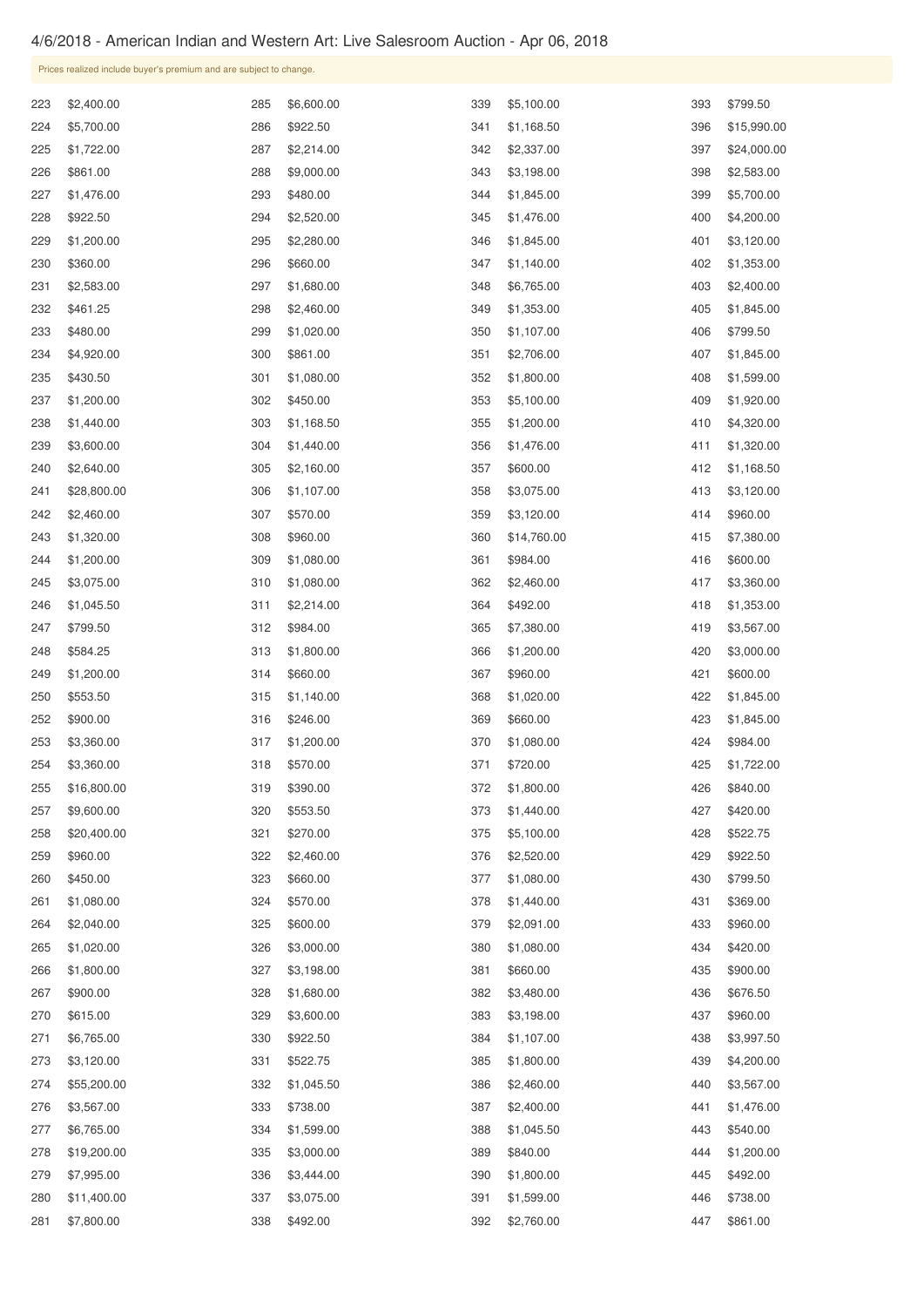## 4/6/2018 - American Indian and Western Art: Live Salesroom Auction - Apr 06, 2018

\$1,800.00

\$3,198.00

|     | Prices realized include buyer's premium and are subject to change. |     |            |     |             |     |             |  |  |
|-----|--------------------------------------------------------------------|-----|------------|-----|-------------|-----|-------------|--|--|
| 223 | \$2,400.00                                                         | 285 | \$6,600.00 | 339 | \$5,100.00  | 393 | \$799.50    |  |  |
| 224 | \$5,700.00                                                         | 286 | \$922.50   | 341 | \$1,168.50  | 396 | \$15,990.00 |  |  |
| 225 | \$1,722.00                                                         | 287 | \$2,214.00 | 342 | \$2,337.00  | 397 | \$24,000.00 |  |  |
| 226 | \$861.00                                                           | 288 | \$9,000.00 | 343 | \$3,198.00  | 398 | \$2,583.00  |  |  |
| 227 | \$1,476.00                                                         | 293 | \$480.00   | 344 | \$1,845.00  | 399 | \$5,700.00  |  |  |
| 228 | \$922.50                                                           | 294 | \$2,520.00 | 345 | \$1,476.00  | 400 | \$4,200.00  |  |  |
| 229 | \$1,200.00                                                         | 295 | \$2,280.00 | 346 | \$1,845.00  | 401 | \$3,120.00  |  |  |
| 230 | \$360.00                                                           | 296 | \$660.00   | 347 | \$1,140.00  | 402 | \$1,353.00  |  |  |
| 231 | \$2,583.00                                                         | 297 | \$1,680.00 | 348 | \$6,765.00  | 403 | \$2,400.00  |  |  |
| 232 | \$461.25                                                           | 298 | \$2,460.00 | 349 | \$1,353.00  | 405 | \$1,845.00  |  |  |
| 233 | \$480.00                                                           | 299 | \$1,020.00 | 350 | \$1,107.00  | 406 | \$799.50    |  |  |
| 234 | \$4,920.00                                                         | 300 | \$861.00   | 351 | \$2,706.00  | 407 | \$1,845.00  |  |  |
| 235 | \$430.50                                                           | 301 | \$1,080.00 | 352 | \$1,800.00  | 408 | \$1,599.00  |  |  |
| 237 | \$1,200.00                                                         | 302 | \$450.00   | 353 | \$5,100.00  | 409 | \$1,920.00  |  |  |
| 238 | \$1,440.00                                                         | 303 | \$1,168.50 | 355 | \$1,200.00  | 410 | \$4,320.00  |  |  |
| 239 | \$3,600.00                                                         | 304 | \$1,440.00 | 356 | \$1,476.00  | 411 | \$1,320.00  |  |  |
| 240 | \$2,640.00                                                         | 305 | \$2,160.00 | 357 | \$600.00    | 412 | \$1,168.50  |  |  |
| 241 | \$28,800.00                                                        | 306 | \$1,107.00 | 358 | \$3,075.00  | 413 | \$3,120.00  |  |  |
| 242 | \$2,460.00                                                         | 307 | \$570.00   | 359 | \$3,120.00  | 414 | \$960.00    |  |  |
| 243 | \$1,320.00                                                         | 308 | \$960.00   | 360 | \$14,760.00 | 415 | \$7,380.00  |  |  |
| 244 | \$1,200.00                                                         | 309 | \$1,080.00 | 361 | \$984.00    | 416 | \$600.00    |  |  |
| 245 | \$3,075.00                                                         | 310 | \$1,080.00 | 362 | \$2,460.00  | 417 | \$3,360.00  |  |  |
| 246 | \$1,045.50                                                         | 311 | \$2,214.00 | 364 | \$492.00    | 418 | \$1,353.00  |  |  |
| 247 | \$799.50                                                           | 312 | \$984.00   | 365 | \$7,380.00  | 419 | \$3,567.00  |  |  |
| 248 | \$584.25                                                           | 313 | \$1,800.00 | 366 | \$1,200.00  | 420 | \$3,000.00  |  |  |
| 249 | \$1,200.00                                                         | 314 | \$660.00   | 367 | \$960.00    | 421 | \$600.00    |  |  |
| 250 | \$553.50                                                           | 315 | \$1,140.00 | 368 | \$1,020.00  | 422 | \$1,845.00  |  |  |
| 252 | \$900.00                                                           | 316 | \$246.00   | 369 | \$660.00    | 423 | \$1,845.00  |  |  |
| 253 | \$3,360.00                                                         | 317 | \$1,200.00 | 370 | \$1,080.00  | 424 | \$984.00    |  |  |
| 254 | \$3,360.00                                                         | 318 | \$570.00   | 371 | \$720.00    | 425 | \$1,722.00  |  |  |
| 255 | \$16,800.00                                                        | 319 | \$390.00   | 372 | \$1,800.00  | 426 | \$840.00    |  |  |
| 257 | \$9,600.00                                                         | 320 | \$553.50   | 373 | \$1,440.00  | 427 | \$420.00    |  |  |
| 258 | \$20,400.00                                                        | 321 | \$270.00   | 375 | \$5,100.00  | 428 | \$522.75    |  |  |
| 259 | \$960.00                                                           | 322 | \$2,460.00 | 376 | \$2,520.00  | 429 | \$922.50    |  |  |
| 260 | \$450.00                                                           | 323 | \$660.00   | 377 | \$1,080.00  | 430 | \$799.50    |  |  |
| 261 | \$1,080.00                                                         | 324 | \$570.00   | 378 | \$1,440.00  | 431 | \$369.00    |  |  |
| 264 | \$2,040.00                                                         | 325 | \$600.00   | 379 | \$2,091.00  | 433 | \$960.00    |  |  |
| 265 | \$1,020.00                                                         | 326 | \$3,000.00 | 380 | \$1,080.00  | 434 | \$420.00    |  |  |

| 267 | \$900.00    | 328 | \$1,680.00 | 382 | \$3,480.00 | 436 | \$676.50   |
|-----|-------------|-----|------------|-----|------------|-----|------------|
| 270 | \$615.00    | 329 | \$3,600.00 | 383 | \$3,198.00 | 437 | \$960.00   |
| 271 | \$6,765.00  | 330 | \$922.50   | 384 | \$1,107.00 | 438 | \$3,997.50 |
| 273 | \$3,120.00  | 331 | \$522.75   | 385 | \$1,800.00 | 439 | \$4,200.00 |
| 274 | \$55,200.00 | 332 | \$1,045.50 | 386 | \$2,460.00 | 440 | \$3,567.00 |
| 276 | \$3,567.00  | 333 | \$738.00   | 387 | \$2,400.00 | 441 | \$1,476.00 |
| 277 | \$6,765.00  | 334 | \$1,599.00 | 388 | \$1,045.50 | 443 | \$540.00   |
| 278 | \$19,200.00 | 335 | \$3,000.00 | 389 | \$840.00   | 444 | \$1,200.00 |
| 279 | \$7,995.00  | 336 | \$3,444.00 | 390 | \$1,800.00 | 445 | \$492.00   |
| 280 | \$11,400.00 | 337 | \$3,075.00 | 391 | \$1,599.00 | 446 | \$738.00   |
| 281 | \$7,800.00  | 338 | \$492.00   | 392 | \$2,760.00 | 447 | \$861.00   |

\$660.00

\$900.00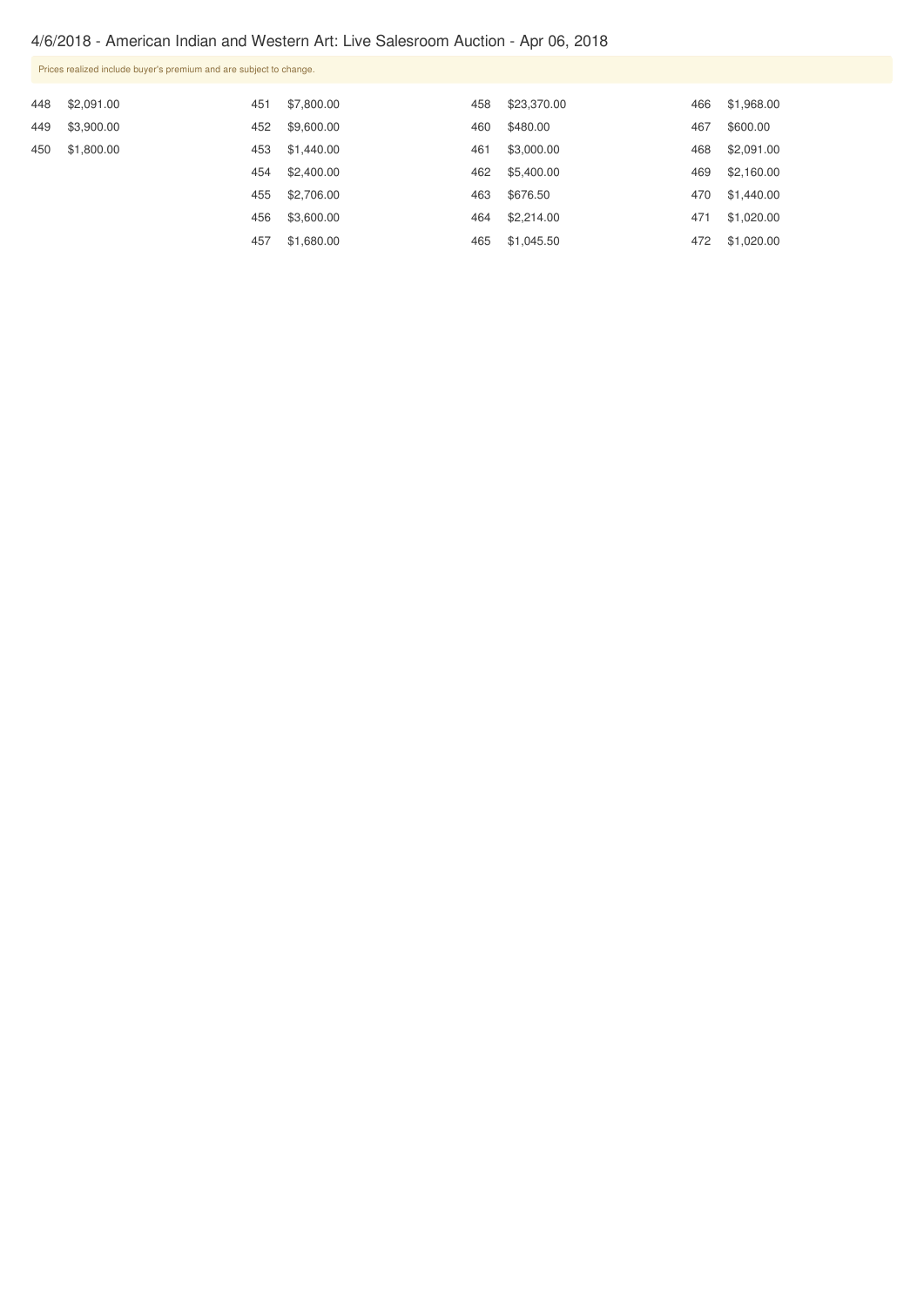## 4/6/2018 - American Indian and Western Art: Live Salesroom Auction - Apr 06, 2018

| Prices realized include buyer's premium and are subject to change. |                                        |            |            |             |                          |            |  |  |  |
|--------------------------------------------------------------------|----------------------------------------|------------|------------|-------------|--------------------------|------------|--|--|--|
|                                                                    | 451                                    | \$7,800.00 | 458        | \$23,370.00 | 466                      | \$1,968.00 |  |  |  |
|                                                                    | 452                                    | \$9,600.00 | 460        | \$480.00    | 467                      | \$600.00   |  |  |  |
|                                                                    | 453                                    |            | 461        | \$3,000.00  | 468                      | \$2,091.00 |  |  |  |
|                                                                    | 454                                    | \$2,400.00 | 462        |             |                          | \$2,160.00 |  |  |  |
|                                                                    | 455                                    | \$2,706.00 | 463        | \$676.50    | 470                      | \$1,440.00 |  |  |  |
|                                                                    | 456                                    | \$3,600.00 | 464        | \$2,214.00  | 471                      | \$1,020.00 |  |  |  |
|                                                                    | 457                                    | \$1,680.00 | 465        |             | 472                      | \$1,020.00 |  |  |  |
|                                                                    | \$2,091.00<br>\$3,900.00<br>\$1,800.00 |            | \$1,440.00 |             | \$5,400.00<br>\$1,045.50 | 469        |  |  |  |